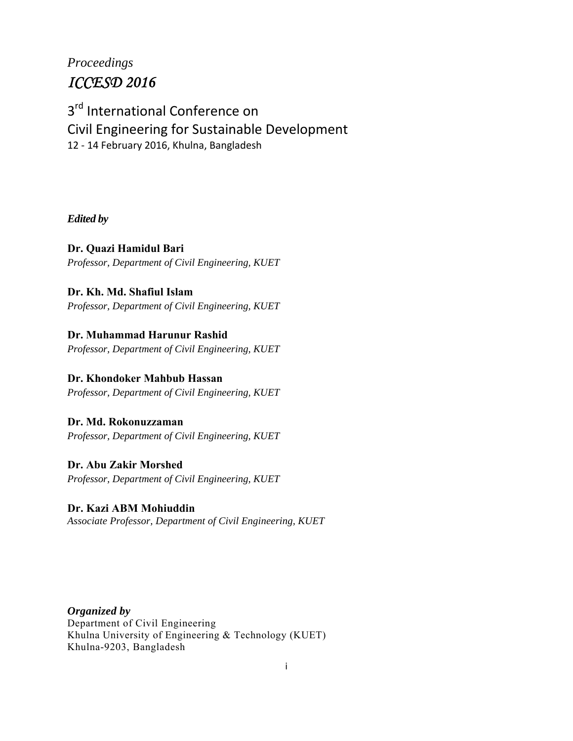# *Proceedings ICCESD 2016*

# 3<sup>rd</sup> International Conference on Civil Engineering for Sustainable Development 12 ‐ 14 February 2016, Khulna, Bangladesh

## *Edited by*

**Dr. Quazi Hamidul Bari**  *Professor, Department of Civil Engineering, KUET*

# **Dr. Kh. Md. Shafiul Islam**

*Professor, Department of Civil Engineering, KUET*

# **Dr. Muhammad Harunur Rashid**

*Professor, Department of Civil Engineering, KUET*

# **Dr. Khondoker Mahbub Hassan**

*Professor, Department of Civil Engineering, KUET* 

## **Dr. Md. Rokonuzzaman**

*Professor, Department of Civil Engineering, KUET*

# **Dr. Abu Zakir Morshed** *Professor, Department of Civil Engineering, KUET*

### **Dr. Kazi ABM Mohiuddin** *Associate Professor, Department of Civil Engineering, KUET*

*Organized by*  Department of Civil Engineering Khulna University of Engineering & Technology (KUET) Khulna-9203, Bangladesh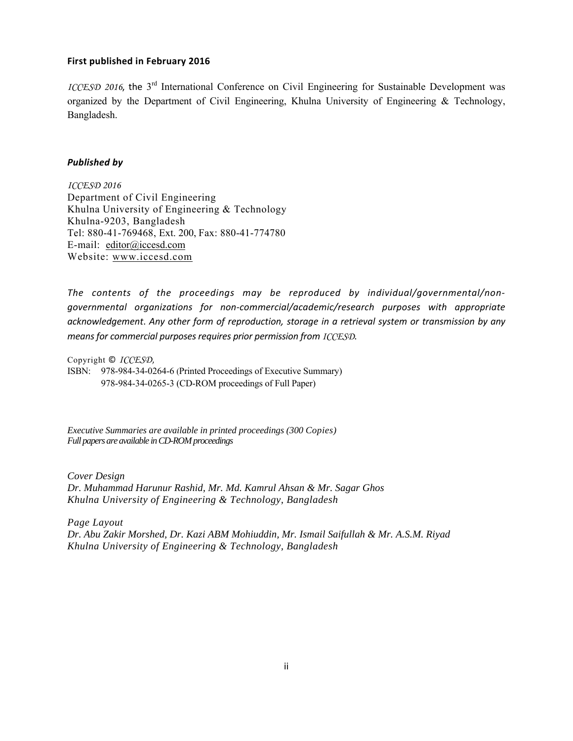#### **First published in February 2016**

*ICCESD 2016*, the 3<sup>rd</sup> International Conference on Civil Engineering for Sustainable Development was organized by the Department of Civil Engineering, Khulna University of Engineering & Technology, Bangladesh.

#### *Published by*

*ICCESD 2016*  Department of Civil Engineering Khulna University of Engineering & Technology Khulna-9203, Bangladesh Tel: 880-41-769468, Ext. 200, Fax: 880-41-774780 E-mail: editor@iccesd.com Website: www.iccesd.com

*The contents of the proceedings may be reproduced by individual/governmental/non‐ governmental organizations for non‐commercial/academic/research purposes with appropriate acknowledgement*. *Any other form of reproduction, storage in a retrieval system or transmission by any means for commercial purposes requires prior permission from ICCESD*.

Copyright © *ICCESD,*  ISBN: 978-984-34-0264-6 (Printed Proceedings of Executive Summary) 978-984-34-0265-3 (CD-ROM proceedings of Full Paper)

*Executive Summaries are available in printed proceedings (300 Copies) Full papers are available in CD-ROM proceedings* 

*Cover Design Dr. Muhammad Harunur Rashid, Mr. Md. Kamrul Ahsan & Mr. Sagar Ghos Khulna University of Engineering & Technology, Bangladesh* 

*Page Layout Dr. Abu Zakir Morshed, Dr. Kazi ABM Mohiuddin, Mr. Ismail Saifullah & Mr. A.S.M. Riyad Khulna University of Engineering & Technology, Bangladesh*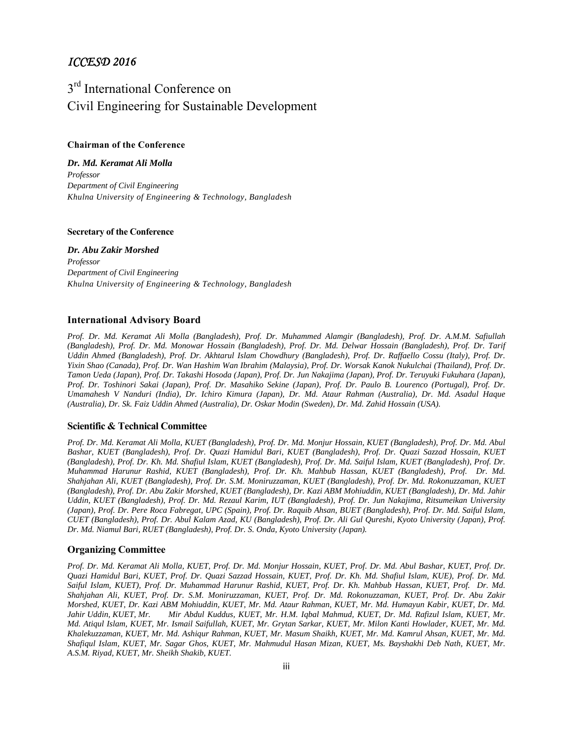### *ICCESD 2016*

# 3<sup>rd</sup> International Conference on Civil Engineering for Sustainable Development

#### **Chairman of the Conference**

*Dr. Md. Keramat Ali Molla Professor Department of Civil Engineering Khulna University of Engineering & Technology, Bangladesh* 

#### **Secretary of the Conference**

*Dr. Abu Zakir Morshed Professor Department of Civil Engineering Khulna University of Engineering & Technology, Bangladesh* 

#### **International Advisory Board**

*Prof. Dr. Md. Keramat Ali Molla (Bangladesh), Prof. Dr. Muhammed Alamgir (Bangladesh), Prof. Dr. A.M.M. Safiullah (Bangladesh), Prof. Dr. Md. Monowar Hossain (Bangladesh), Prof. Dr. Md. Delwar Hossain (Bangladesh), Prof. Dr. Tarif Uddin Ahmed (Bangladesh), Prof. Dr. Akhtarul Islam Chowdhury (Bangladesh), Prof. Dr. Raffaello Cossu (Italy), Prof. Dr. Yixin Shao (Canada), Prof. Dr. Wan Hashim Wan Ibrahim (Malaysia), Prof. Dr. Worsak Kanok Nukulchai (Thailand), Prof. Dr. Tamon Ueda (Japan), Prof. Dr. Takashi Hosoda (Japan), Prof. Dr. Jun Nakajima (Japan), Prof. Dr. Teruyuki Fukuhara (Japan), Prof. Dr. Toshinori Sakai (Japan), Prof. Dr. Masahiko Sekine (Japan), Prof. Dr. Paulo B. Lourenco (Portugal), Prof. Dr. Umamahesh V Nanduri (India), Dr. Ichiro Kimura (Japan), Dr. Md. Ataur Rahman (Australia), Dr. Md. Asadul Haque (Australia), Dr. Sk. Faiz Uddin Ahmed (Australia), Dr. Oskar Modin (Sweden), Dr. Md. Zahid Hossain (USA).* 

#### **Scientific & Technical Committee**

*Prof. Dr. Md. Keramat Ali Molla, KUET (Bangladesh), Prof. Dr. Md. Monjur Hossain, KUET (Bangladesh), Prof. Dr. Md. Abul Bashar, KUET (Bangladesh), Prof. Dr. Quazi Hamidul Bari, KUET (Bangladesh), Prof. Dr. Quazi Sazzad Hossain, KUET (Bangladesh), Prof. Dr. Kh. Md. Shafiul Islam, KUET (Bangladesh), Prof. Dr. Md. Saiful Islam, KUET (Bangladesh), Prof. Dr. Muhammad Harunur Rashid, KUET (Bangladesh), Prof. Dr. Kh. Mahbub Hassan, KUET (Bangladesh), Prof. Dr. Md. Shahjahan Ali, KUET (Bangladesh), Prof. Dr. S.M. Moniruzzaman, KUET (Bangladesh), Prof. Dr. Md. Rokonuzzaman, KUET (Bangladesh), Prof. Dr. Abu Zakir Morshed, KUET (Bangladesh), Dr. Kazi ABM Mohiuddin, KUET (Bangladesh), Dr. Md. Jahir Uddin, KUET (Bangladesh), Prof. Dr. Md. Rezaul Karim, IUT (Bangladesh), Prof. Dr. Jun Nakajima, Ritsumeikan University (Japan), Prof. Dr. Pere Roca Fabregat, UPC (Spain), Prof. Dr. Raquib Ahsan, BUET (Bangladesh), Prof. Dr. Md. Saiful Islam, CUET (Bangladesh), Prof. Dr. Abul Kalam Azad, KU (Bangladesh), Prof. Dr. Ali Gul Qureshi, Kyoto University (Japan), Prof. Dr. Md. Niamul Bari, RUET (Bangladesh), Prof. Dr. S. Onda, Kyoto University (Japan).* 

#### **Organizing Committee**

*Prof. Dr. Md. Keramat Ali Molla, KUET, Prof. Dr. Md. Monjur Hossain, KUET, Prof. Dr. Md. Abul Bashar, KUET, Prof. Dr. Quazi Hamidul Bari, KUET, Prof. Dr. Quazi Sazzad Hossain, KUET, Prof. Dr. Kh. Md. Shafiul Islam, KUE), Prof. Dr. Md. Saiful Islam, KUET), Prof. Dr. Muhammad Harunur Rashid, KUET, Prof. Dr. Kh. Mahbub Hassan, KUET, Prof. Dr. Md. Shahjahan Ali, KUET, Prof. Dr. S.M. Moniruzzaman, KUET, Prof. Dr. Md. Rokonuzzaman, KUET, Prof. Dr. Abu Zakir Morshed, KUET, Dr. Kazi ABM Mohiuddin, KUET, Mr. Md. Ataur Rahman, KUET, Mr. Md. Humayun Kabir, KUET, Dr. Md. Jahir Uddin, KUET, Mr. Mir Abdul Kuddus, KUET, Mr. H.M. Iqbal Mahmud, KUET, Dr. Md. Rafizul Islam, KUET, Mr. Md. Atiqul Islam, KUET, Mr. Ismail Saifullah, KUET, Mr. Grytan Sarkar, KUET, Mr. Milon Kanti Howlader, KUET, Mr. Md. Khalekuzzaman, KUET, Mr. Md. Ashiqur Rahman, KUET, Mr. Masum Shaikh, KUET, Mr. Md. Kamrul Ahsan, KUET, Mr. Md. Shafiqul Islam, KUET, Mr. Sagar Ghos, KUET, Mr. Mahmudul Hasan Mizan, KUET, Ms. Bayshakhi Deb Nath, KUET, Mr. A.S.M. Riyad, KUET, Mr. Sheikh Shakib, KUET.*